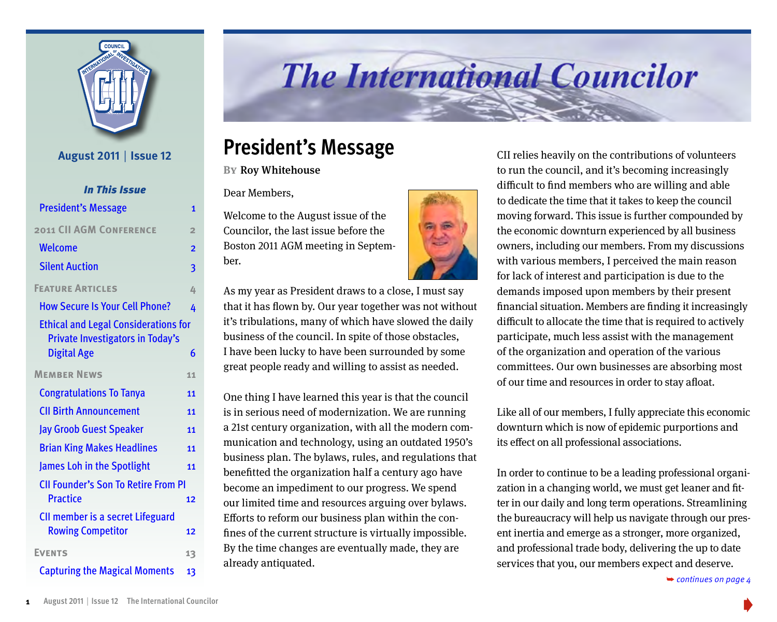

#### **August 2011** | **Issue 12**

| <b>In This Issue</b>                        |                  | Dear Members,                                                                                                 |  | unneuit to mid members who are winnig and able              |  |  |
|---------------------------------------------|------------------|---------------------------------------------------------------------------------------------------------------|--|-------------------------------------------------------------|--|--|
|                                             |                  |                                                                                                               |  | to dedicate the time that it takes to keep the council      |  |  |
| <b>President's Message</b>                  | $\mathbf{1}$     | Welcome to the August issue of the                                                                            |  | moving forward. This issue is further compounded by         |  |  |
| <b>2011 CII AGM CONFERENCE</b>              | $\overline{2}$   | Councilor, the last issue before the                                                                          |  | the economic downturn experienced by all business           |  |  |
| <b>Welcome</b>                              | $\overline{2}$   | Boston 2011 AGM meeting in Septem-                                                                            |  | owners, including our members. From my discussions          |  |  |
| <b>Silent Auction</b>                       | 3                | ber.                                                                                                          |  | with various members, I perceived the main reason           |  |  |
|                                             |                  |                                                                                                               |  | for lack of interest and participation is due to the        |  |  |
| <b>FEATURE ARTICLES</b>                     | 4                | As my year as President draws to a close, I must say                                                          |  | demands imposed upon members by their present               |  |  |
| <b>How Secure Is Your Cell Phone?</b>       | 4                | that it has flown by. Our year together was not without                                                       |  | financial situation. Members are finding it increasingly    |  |  |
| <b>Ethical and Legal Considerations for</b> |                  | it's tribulations, many of which have slowed the daily                                                        |  | difficult to allocate the time that is required to actively |  |  |
| Private Investigators in Today's            |                  | business of the council. In spite of those obstacles,                                                         |  | participate, much less assist with the management           |  |  |
| <b>Digital Age</b>                          | $\boldsymbol{6}$ | I have been lucky to have been surrounded by some                                                             |  | of the organization and operation of the various            |  |  |
| <b>MEMBER NEWS</b>                          | 11               | great people ready and willing to assist as needed.                                                           |  | committees. Our own businesses are absorbing most           |  |  |
| <b>Congratulations To Tanya</b>             | <b>11</b>        |                                                                                                               |  | of our time and resources in order to stay afloat.          |  |  |
| <b>CII Birth Announcement</b>               |                  | One thing I have learned this year is that the council                                                        |  |                                                             |  |  |
|                                             | 11               | is in serious need of modernization. We are running                                                           |  | Like all of our members, I fully appreciate this economic   |  |  |
| <b>Jay Groob Guest Speaker</b>              | 11               | a 21st century organization, with all the modern com-                                                         |  | downturn which is now of epidemic purportions and           |  |  |
| <b>Brian King Makes Headlines</b>           | 11               | munication and technology, using an outdated 1950's<br>business plan. The bylaws, rules, and regulations that |  | its effect on all professional associations.                |  |  |
| James Loh in the Spotlight                  | 11               | benefitted the organization half a century ago have                                                           |  | In order to continue to be a leading professional organi-   |  |  |
| <b>CII Founder's Son To Retire From PI</b>  |                  | become an impediment to our progress. We spend                                                                |  | zation in a changing world, we must get leaner and fit-     |  |  |
| <b>Practice</b>                             | 12               | our limited time and resources arguing over bylaws.                                                           |  | ter in our daily and long term operations. Streamlining     |  |  |
| CII member is a secret Lifeguard            |                  | Efforts to reform our business plan within the con-                                                           |  | the bureaucracy will help us navigate through our pres-     |  |  |
| <b>Rowing Competitor</b>                    | 12               | fines of the current structure is virtually impossible.                                                       |  | ent inertia and emerge as a stronger, more organized,       |  |  |
| <b>EVENTS</b>                               | 13               | By the time changes are eventually made, they are                                                             |  | and professional trade body, delivering the up to date      |  |  |
| <b>Capturing the Magical Moments</b>        | 13               | already antiquated.                                                                                           |  | services that you, our members expect and deserve.          |  |  |
|                                             |                  |                                                                                                               |  | $\rightarrow$ continues on page 4                           |  |  |

# **The International Councilor**

## **President's Message**

**BY** Roy Whitehouse



CII relies heavily on the contributions of volunteers to run the council, and it's becoming increasingly difficult to find members who are willing and able to dedicate the time that it takes to keep the council moving forward. This issue is further compounded by the economic downturn experienced by all business owners, including our members. From my discussions with various members, I perceived the main reason for lack of interest and participation is due to the demands imposed upon members by their present financial situation. Members are finding it increasingly difficult to allocate the time that is required to actively participate, much less assist with the management of the organization and operation of the various committees. Our own businesses are absorbing most of our time and resources in order to stay afloat.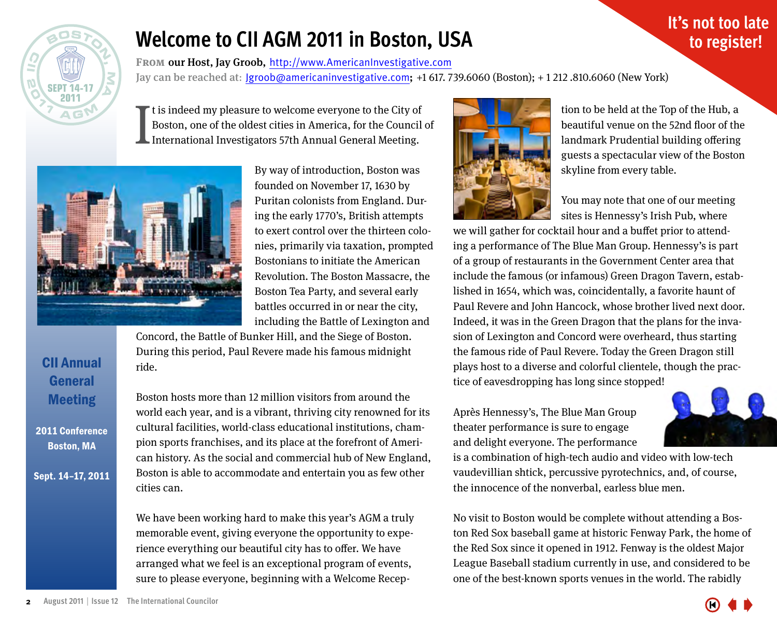<span id="page-1-0"></span>

CII Annual **General** Meeting

2011 Conference Boston, MA

Sept. 14–17, 2011

# **Welcome to CII AGM 2011 in Boston, USA**

FROM our Host, Jay Groob, http://www.AmericanInvestigative.com Jay can be reached at:  $\text{lgroob@americaninvestigative.com}$ ; +1 617, 739.6060 (Boston); +1 212, 810.6060 (New York)

I If t is indeed my pleasure to welcome everyone to the City of Boston, one of the oldest cities in America, for the Council of International Investigators 57th Annual General Meeting.



By way of introduction, Boston was founded on November 17, 1630 by Puritan colonists from England. During the early 1770's, British attempts to exert control over the thirteen colonies, primarily via taxation, prompted Bostonians to initiate the American Revolution. The Boston Massacre, the Boston Tea Party, and several early battles occurred in or near the city, including the Battle of Lexington and

Concord, the Battle of Bunker Hill, and the Siege of Boston. During this period, Paul Revere made his famous midnight ride.

Boston hosts more than 12 million visitors from around the world each year, and is a vibrant, thriving city renowned for its cultural facilities, world-class educational institutions, champion sports franchises, and its place at the forefront of American history. As the social and commercial hub of New England, Boston is able to accommodate and entertain you as few other cities can.

We have been working hard to make this year's AGM a truly memorable event, giving everyone the opportunity to experience everything our beautiful city has to offer. We have arranged what we feel is an exceptional program of events, sure to please everyone, beginning with a Welcome Recep-



tion to be held at the Top of the Hub, a beautiful venue on the 52nd floor of the landmark Prudential building offering guests a spectacular view of the Boston skyline from every table.

You may note that one of our meeting sites is Hennessy's Irish Pub, where

we will gather for cocktail hour and a buffet prior to attending a performance of The Blue Man Group. Hennessy's is part of a group of restaurants in the Government Center area that include the famous (or infamous) Green Dragon Tavern, established in 1654, which was, coincidentally, a favorite haunt of Paul Revere and John Hancock, whose brother lived next door. Indeed, it was in the Green Dragon that the plans for the invasion of Lexington and Concord were overheard, thus starting the famous ride of Paul Revere. Today the Green Dragon still plays host to a diverse and colorful clientele, though the practice of eavesdropping has long since stopped!

Après Hennessy's, The Blue Man Group theater performance is sure to engage and delight everyone. The performance



**It's not too late to register!**

is a combination of high-tech audio and video with low-tech vaudevillian shtick, percussive pyrotechnics, and, of course, the innocence of the nonverbal, earless blue men.

No visit to Boston would be complete without attending a Boston Red Sox baseball game at historic Fenway Park, the home of the Red Sox since it opened in 1912. Fenway is the oldest Major League Baseball stadium currently in use, and considered to be one of the best-known sports venues in the world. The rabidly

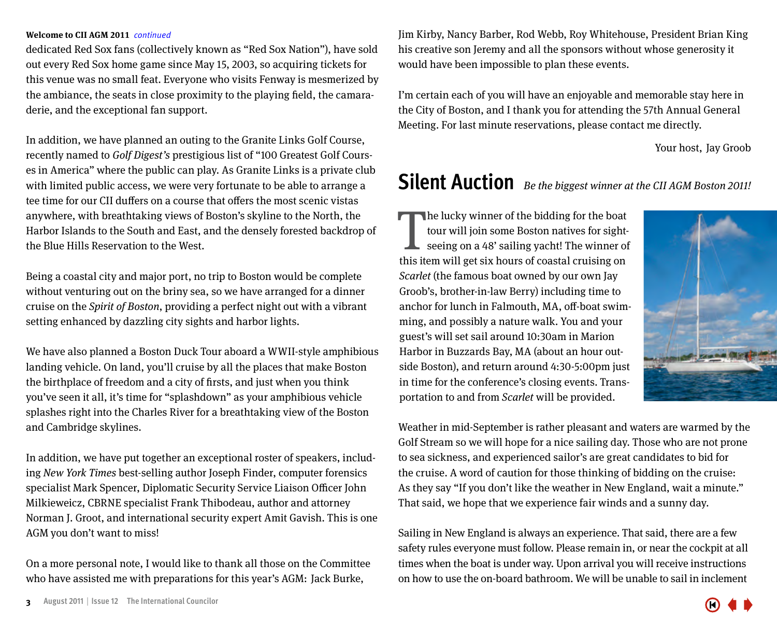#### <span id="page-2-0"></span>**Welcome to CII AGM 2011** *continued*

dedicated Red Sox fans (collectively known as "Red Sox Nation"), have sold out every Red Sox home game since May 15, 2003, so acquiring tickets for this venue was no small feat. Everyone who visits Fenway is mesmerized by the ambiance, the seats in close proximity to the playing field, the camaraderie, and the exceptional fan support.

In addition, we have planned an outing to the Granite Links Golf Course, recently named to Golf Digest's prestigious list of "100 Greatest Golf Courses in America" where the public can play. As Granite Links is a private club with limited public access, we were very fortunate to be able to arrange a tee time for our CII duffers on a course that offers the most scenic vistas anywhere, with breathtaking views of Boston's skyline to the North, the Harbor Islands to the South and East, and the densely forested backdrop of the Blue Hills Reservation to the West.

Being a coastal city and major port, no trip to Boston would be complete without venturing out on the briny sea, so we have arranged for a dinner cruise on the Spirit of Boston, providing a perfect night out with a vibrant setting enhanced by dazzling city sights and harbor lights.

We have also planned a Boston Duck Tour aboard a WWII-style amphibious landing vehicle. On land, you'll cruise by all the places that make Boston the birthplace of freedom and a city of firsts, and just when you think you've seen it all, it's time for "splashdown" as your amphibious vehicle splashes right into the Charles River for a breathtaking view of the Boston and Cambridge skylines.

In addition, we have put together an exceptional roster of speakers, including New York Times best-selling author Joseph Finder, computer forensics specialist Mark Spencer, Diplomatic Security Service Liaison Officer John Milkieweicz, CBRNE specialist Frank Thibodeau, author and attorney Norman J. Groot, and international security expert Amit Gavish. This is one AGM you don't want to miss!

On a more personal note, I would like to thank all those on the Committee who have assisted me with preparations for this year's AGM: Jack Burke,

Jim Kirby, Nancy Barber, Rod Webb, Roy Whitehouse, President Brian King his creative son Jeremy and all the sponsors without whose generosity it would have been impossible to plan these events.

I'm certain each of you will have an enjoyable and memorable stay here in the City of Boston, and I thank you for attending the 57th Annual General Meeting. For last minute reservations, please contact me directly.

Your host, Jay Groob

## **Silent Auction** Be the biggest winner at the CII AGM Boston 2011!

The lucky winner of the bidding for the boat<br>tour will join some Boston natives for sight-<br>seeing on a 48' sailing yacht! The winner of<br>this item will get six hours of coastal cruising on he lucky winner of the bidding for the boat tour will join some Boston natives for sightseeing on a 48' sailing yacht! The winner of Scarlet (the famous boat owned by our own Jay Groob's, brother-in-law Berry) including time to anchor for lunch in Falmouth, MA, off-boat swimming, and possibly a nature walk. You and your guest's will set sail around 10:30am in Marion Harbor in Buzzards Bay, MA (about an hour outside Boston), and return around 4:30-5:00pm just in time for the conference's closing events. Transportation to and from Scarlet will be provided.



Weather in mid-September is rather pleasant and waters are warmed by the Golf Stream so we will hope for a nice sailing day. Those who are not prone to sea sickness, and experienced sailor's are great candidates to bid for the cruise. A word of caution for those thinking of bidding on the cruise: As they say "If you don't like the weather in New England, wait a minute." That said, we hope that we experience fair winds and a sunny day.

Sailing in New England is always an experience. That said, there are a few safety rules everyone must follow. Please remain in, or near the cockpit at all times when the boat is under way. Upon arrival you will receive instructions on how to use the on-board bathroom. We will be unable to sail in inclement

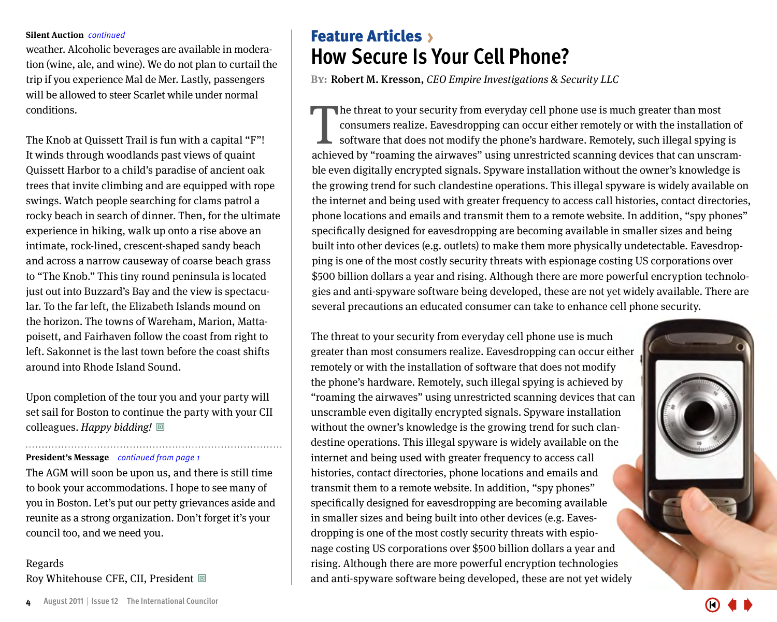weather. Alcoholic beverages are available in moderation (wine, ale, and wine). We do not plan to curtail the trip if you experience Mal de Mer. Lastly, passengers will be allowed to steer Scarlet while under normal conditions.

The Knob at Quissett Trail is fun with a capital "F"! It winds through woodlands past views of quaint Quissett Harbor to a child's paradise of ancient oak trees that invite climbing and are equipped with rope swings. Watch people searching for clams patrol a rocky beach in search of dinner. Then, for the ultimate experience in hiking, walk up onto a rise above an intimate, rock-lined, crescent-shaped sandy beach and across a narrow causeway of coarse beach grass to "The Knob." This tiny round peninsula is located just out into Buzzard's Bay and the view is spectacular. To the far left, the Elizabeth Islands mound on the horizon. The towns of Wareham, Marion, Mattapoisett, and Fairhaven follow the coast from right to left. Sakonnet is the last town before the coast shifts around into Rhode Island Sound.

Upon completion of the tour you and your party will set sail for Boston to continue the party with your CII colleagues. Happy bidding!  $\Box$ 

#### **President's Message** *continued from page 1*

The AGM will soon be upon us, and there is still time to book your accommodations. I hope to see many of you in Boston. Let's put our petty grievances aside and reunite as a strong organization. Don't forget it's your council too, and we need you.

Regards Roy Whitehouse CFE, CII, President  $\blacksquare$ 

### <span id="page-3-0"></span>**Silent Auction** *continued* The **Feature Articles** > **How Secure Is Your Cell Phone?**

**BY: Robert M. Kresson, CEO Empire Investigations & Security LLC** 

The threat to your security from everyday cell phone use is much greater than most consumers realize. Eavesdropping can occur either remotely or with the installation of software that does not modify the phone's hardware. he threat to your security from everyday cell phone use is much greater than most consumers realize. Eavesdropping can occur either remotely or with the installation of software that does not modify the phone's hardware. Remotely, such illegal spying is ble even digitally encrypted signals. Spyware installation without the owner's knowledge is the growing trend for such clandestine operations. This illegal spyware is widely available on the internet and being used with greater frequency to access call histories, contact directories, phone locations and emails and transmit them to a remote website. In addition, "spy phones" specifically designed for eavesdropping are becoming available in smaller sizes and being built into other devices (e.g. outlets) to make them more physically undetectable. Eavesdropping is one of the most costly security threats with espionage costing US corporations over \$500 billion dollars a year and rising. Although there are more powerful encryption technologies and anti-spyware software being developed, these are not yet widely available. There are several precautions an educated consumer can take to enhance cell phone security.

The threat to your security from everyday cell phone use is much greater than most consumers realize. Eavesdropping can occur either remotely or with the installation of software that does not modify the phone's hardware. Remotely, such illegal spying is achieved by "roaming the airwaves" using unrestricted scanning devices that can unscramble even digitally encrypted signals. Spyware installation without the owner's knowledge is the growing trend for such clandestine operations. This illegal spyware is widely available on the internet and being used with greater frequency to access call histories, contact directories, phone locations and emails and transmit them to a remote website. In addition, "spy phones" specifically designed for eavesdropping are becoming available in smaller sizes and being built into other devices (e.g. Eavesdropping is one of the most costly security threats with espionage costing US corporations over \$500 billion dollars a year and rising. Although there are more powerful encryption technologies and anti-spyware software being developed, these are not yet widely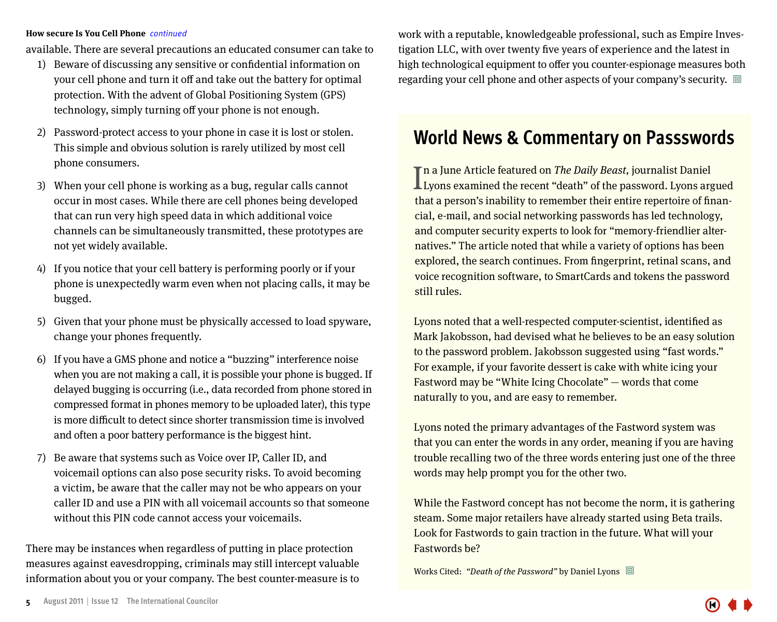available. There are several precautions an educated consumer can take to

- 1) Beware of discussing any sensitive or confidential information on your cell phone and turn it off and take out the battery for optimal protection. With the advent of Global Positioning System (GPS) technology, simply turning off your phone is not enough.
- 2) Password-protect access to your phone in case it is lost or stolen. This simple and obvious solution is rarely utilized by most cell phone consumers.
- 3) When your cell phone is working as a bug, regular calls cannot occur in most cases. While there are cell phones being developed that can run very high speed data in which additional voice channels can be simultaneously transmitted, these prototypes are not yet widely available.
- 4) If you notice that your cell battery is performing poorly or if your phone is unexpectedly warm even when not placing calls, it may be bugged.
- 5) Given that your phone must be physically accessed to load spyware, change your phones frequently.
- 6) If you have a GMS phone and notice a "buzzing" interference noise when you are not making a call, it is possible your phone is bugged. If delayed bugging is occurring (i.e., data recorded from phone stored in compressed format in phones memory to be uploaded later), this type is more difficult to detect since shorter transmission time is involved and often a poor battery performance is the biggest hint.
- 7) Be aware that systems such as Voice over IP, Caller ID, and voicemail options can also pose security risks. To avoid becoming a victim, be aware that the caller may not be who appears on your caller ID and use a PIN with all voicemail accounts so that someone without this PIN code cannot access your voicemails.

There may be instances when regardless of putting in place protection measures against eavesdropping, criminals may still intercept valuable information about you or your company. The best counter-measure is to

**How secure Is You Cell Phone** *continued* work with a reputable, knowledgeable professional, such as Empire Investigation LLC, with over twenty five years of experience and the latest in high technological equipment to offer you counter-espionage measures both regarding your cell phone and other aspects of your company's security.  $\Box$ 

### **World News & Commentary on Passswords**

In a June Article featured on *The Daily Beast*, journalist Daniel<br>Lyons examined the recent "death" of the password. Lyons arg **L** Lyons examined the recent "death" of the password. Lyons argued that a person's inability to remember their entire repertoire of financial, e-mail, and social networking passwords has led technology, and computer security experts to look for "memory-friendlier alternatives." The article noted that while a variety of options has been explored, the search continues. From fingerprint, retinal scans, and voice recognition software, to SmartCards and tokens the password still rules.

Lyons noted that a well-respected computer-scientist, identified as Mark Jakobsson, had devised what he believes to be an easy solution to the password problem. Jakobsson suggested using "fast words." For example, if your favorite dessert is cake with white icing your Fastword may be "White Icing Chocolate" — words that come naturally to you, and are easy to remember.

Lyons noted the primary advantages of the Fastword system was that you can enter the words in any order, meaning if you are having trouble recalling two of the three words entering just one of the three words may help prompt you for the other two.

While the Fastword concept has not become the norm, it is gathering steam. Some major retailers have already started using Beta trails. Look for Fastwords to gain traction in the future. What will your Fastwords be?

Works Cited: "Death of the Password" by Daniel Lyons  $\Box$ 

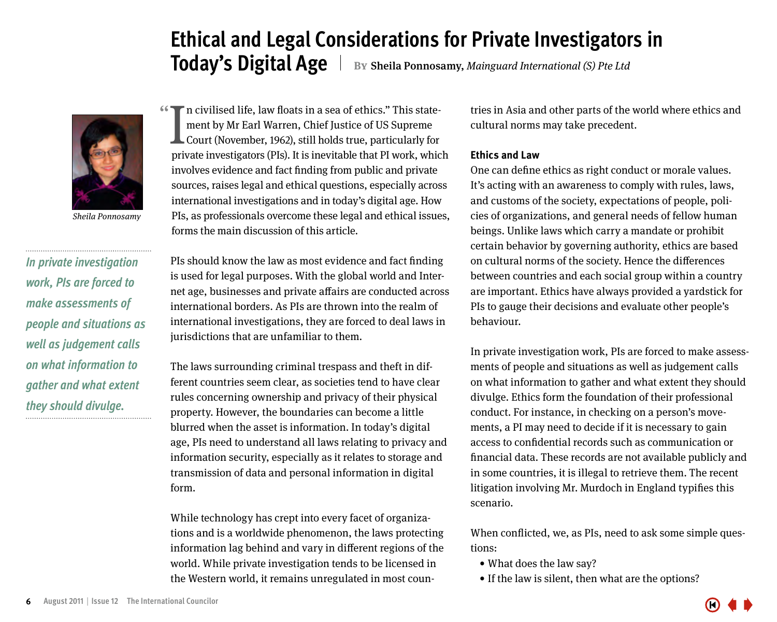### **Ethical and Legal Considerations for Private Investigators in Today's Digital Age** | By Sheila Ponnosamy, Mainguard International (S) Pte Ltd

<span id="page-5-0"></span>

Sheila Ponnosamy

*In private investigation work, PIs are forced to make assessments of people and situations as well as judgement calls on what information to gather and what extent they should divulge.*

<sup>1</sup> In civilised life, law floats in a sea of ethics." This state-<br>ment by Mr Earl Warren, Chief Justice of US Supreme<br>Court (November, 1962), still holds true, particularly for<br>private investigators (PIs). It is inquitabl ment by Mr Earl Warren, Chief Justice of US Supreme Court (November, 1962), still holds true, particularly for private investigators (PIs). It is inevitable that PI work, which involves evidence and fact finding from public and private sources, raises legal and ethical questions, especially across international investigations and in today's digital age. How PIs, as professionals overcome these legal and ethical issues, forms the main discussion of this article.

PIs should know the law as most evidence and fact finding is used for legal purposes. With the global world and Internet age, businesses and private affairs are conducted across international borders. As PIs are thrown into the realm of international investigations, they are forced to deal laws in jurisdictions that are unfamiliar to them.

The laws surrounding criminal trespass and theft in different countries seem clear, as societies tend to have clear rules concerning ownership and privacy of their physical property. However, the boundaries can become a little blurred when the asset is information. In today's digital age, PIs need to understand all laws relating to privacy and information security, especially as it relates to storage and transmission of data and personal information in digital form.

While technology has crept into every facet of organizations and is a worldwide phenomenon, the laws protecting information lag behind and vary in different regions of the world. While private investigation tends to be licensed in the Western world, it remains unregulated in most countries in Asia and other parts of the world where ethics and cultural norms may take precedent.

#### **Ethics and Law**

One can define ethics as right conduct or morale values. It's acting with an awareness to comply with rules, laws, and customs of the society, expectations of people, policies of organizations, and general needs of fellow human beings. Unlike laws which carry a mandate or prohibit certain behavior by governing authority, ethics are based on cultural norms of the society. Hence the differences between countries and each social group within a country are important. Ethics have always provided a yardstick for PIs to gauge their decisions and evaluate other people's behaviour.

In private investigation work, PIs are forced to make assessments of people and situations as well as judgement calls on what information to gather and what extent they should divulge. Ethics form the foundation of their professional conduct. For instance, in checking on a person's movements, a PI may need to decide if it is necessary to gain access to confidential records such as communication or financial data. These records are not available publicly and in some countries, it is illegal to retrieve them. The recent litigation involving Mr. Murdoch in England typifies this scenario.

When conflicted, we, as PIs, need to ask some simple questions:

- What does the law say?
- If the law is silent, then what are the options?

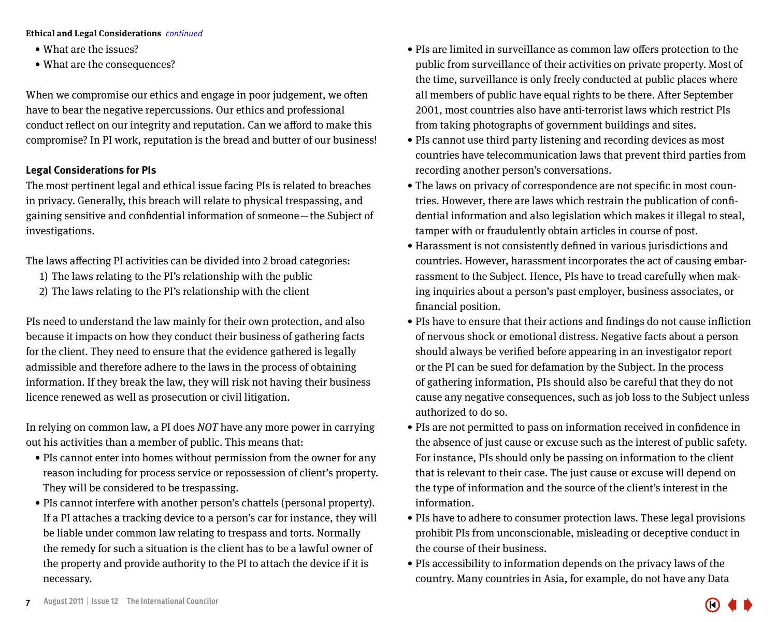- What are the issues?
- What are the consequences?

When we compromise our ethics and engage in poor judgement, we often have to bear the negative repercussions. Our ethics and professional conduct reflect on our integrity and reputation. Can we afford to make this compromise? In PI work, reputation is the bread and butter of our business!

#### **Legal Considerations for PIs**

The most pertinent legal and ethical issue facing PIs is related to breaches in privacy. Generally, this breach will relate to physical trespassing, and gaining sensitive and confidential information of someone — the Subject of investigations.

The laws affecting PI activities can be divided into 2 broad categories:

- 1) The laws relating to the PI's relationship with the public
- 2) The laws relating to the PI's relationship with the client

PIs need to understand the law mainly for their own protection, and also because it impacts on how they conduct their business of gathering facts for the client. They need to ensure that the evidence gathered is legally admissible and therefore adhere to the laws in the process of obtaining information. If they break the law, they will risk not having their business licence renewed as well as prosecution or civil litigation.

In relying on common law, a PI does NOT have any more power in carrying out his activities than a member of public. This means that:

- PIs cannot enter into homes without permission from the owner for any reason including for process service or repossession of client's property. They will be considered to be trespassing.
- PIs cannot interfere with another person's chattels (personal property). If a PI attaches a tracking device to a person's car for instance, they will be liable under common law relating to trespass and torts. Normally the remedy for such a situation is the client has to be a lawful owner of the property and provide authority to the PI to attach the device if it is necessary.
- • PIs are limited in surveillance as common law offers protection to the public from surveillance of their activities on private property. Most of the time, surveillance is only freely conducted at public places where all members of public have equal rights to be there. After September 2001, most countries also have anti-terrorist laws which restrict PIs from taking photographs of government buildings and sites.
- PIs cannot use third party listening and recording devices as most countries have telecommunication laws that prevent third parties from recording another person's conversations.
- The laws on privacy of correspondence are not specific in most countries. However, there are laws which restrain the publication of confidential information and also legislation which makes it illegal to steal, tamper with or fraudulently obtain articles in course of post.
- Harassment is not consistently defined in various jurisdictions and countries. However, harassment incorporates the act of causing embarrassment to the Subject. Hence, PIs have to tread carefully when making inquiries about a person's past employer, business associates, or financial position.
- PIs have to ensure that their actions and findings do not cause infliction of nervous shock or emotional distress. Negative facts about a person should always be verified before appearing in an investigator report or the PI can be sued for defamation by the Subject. In the process of gathering information, PIs should also be careful that they do not cause any negative consequences, such as job loss to the Subject unless authorized to do so.
- PIs are not permitted to pass on information received in confidence in the absence of just cause or excuse such as the interest of public safety. For instance, PIs should only be passing on information to the client that is relevant to their case. The just cause or excuse will depend on the type of information and the source of the client's interest in the information.
- PIs have to adhere to consumer protection laws. These legal provisions prohibit PIs from unconscionable, misleading or deceptive conduct in the course of their business.
- • PIs accessibility to information depends on the privacy laws of the country. Many countries in Asia, for example, do not have any Data

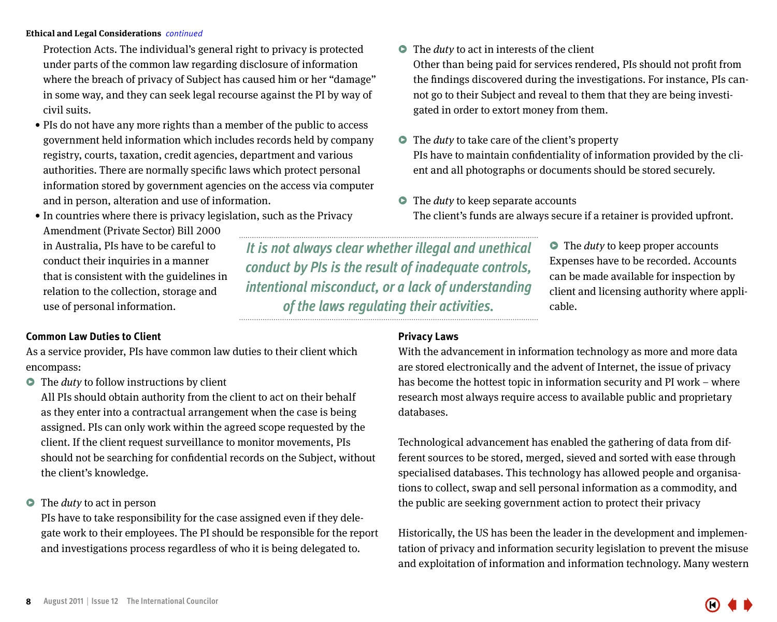Protection Acts. The individual's general right to privacy is protected under parts of the common law regarding disclosure of information where the breach of privacy of Subject has caused him or her "damage" in some way, and they can seek legal recourse against the PI by way of civil suits.

- PIs do not have any more rights than a member of the public to access government held information which includes records held by company registry, courts, taxation, credit agencies, department and various authorities. There are normally specific laws which protect personal information stored by government agencies on the access via computer and in person, alteration and use of information.
- In countries where there is privacy legislation, such as the Privacy

Amendment (Private Sector) Bill 2000 in Australia, PIs have to be careful to conduct their inquiries in a manner that is consistent with the guidelines in relation to the collection, storage and use of personal information.

#### **Common Law Duties to Client**

As a service provider, PIs have common law duties to their client which encompass:

 $\bullet$  The *duty* to follow instructions by client

All PIs should obtain authority from the client to act on their behalf as they enter into a contractual arrangement when the case is being assigned. PIs can only work within the agreed scope requested by the client. If the client request surveillance to monitor movements, PIs should not be searching for confidential records on the Subject, without the client's knowledge.

 $\bullet$  The *duty* to act in person

PIs have to take responsibility for the case assigned even if they delegate work to their employees. The PI should be responsible for the report and investigations process regardless of who it is being delegated to.

#### $\bullet$  The *duty* to act in interests of the client

Other than being paid for services rendered, PIs should not profit from the findings discovered during the investigations. For instance, PIs cannot go to their Subject and reveal to them that they are being investigated in order to extort money from them.

- $\bullet$  The *duty* to take care of the client's property PIs have to maintain confidentiality of information provided by the client and all photographs or documents should be stored securely.
- $\bullet$  The *duty* to keep separate accounts The client's funds are always secure if a retainer is provided upfront.

*It is not always clear whether illegal and unethical conduct by PIs is the result of inadequate controls, intentional misconduct, or a lack of understanding of the laws regulating their activities.*

 $\bullet$  The *duty* to keep proper accounts Expenses have to be recorded. Accounts can be made available for inspection by client and licensing authority where applicable.

#### **Privacy Laws**

With the advancement in information technology as more and more data are stored electronically and the advent of Internet, the issue of privacy has become the hottest topic in information security and PI work – where research most always require access to available public and proprietary databases.

Technological advancement has enabled the gathering of data from different sources to be stored, merged, sieved and sorted with ease through specialised databases. This technology has allowed people and organisations to collect, swap and sell personal information as a commodity, and the public are seeking government action to protect their privacy

Historically, the US has been the leader in the development and implementation of privacy and information security legislation to prevent the misuse and exploitation of information and information technology. Many western

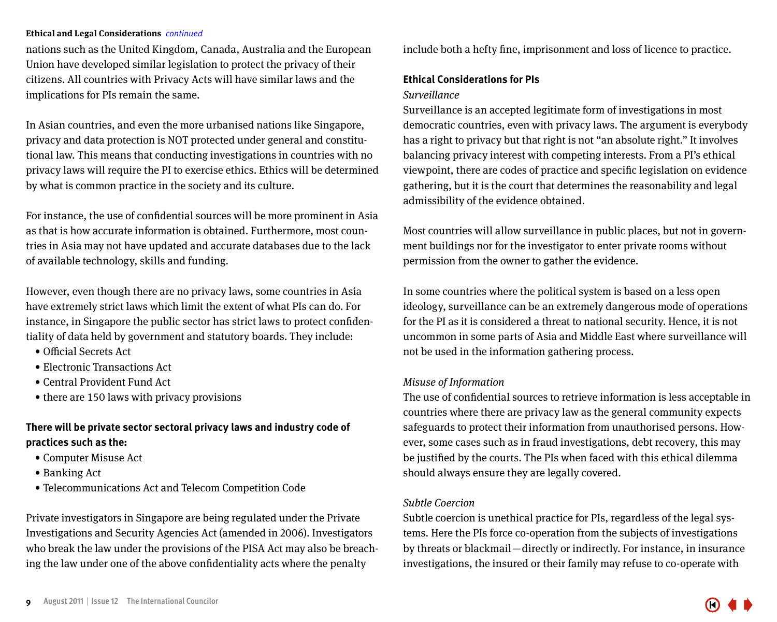nations such as the United Kingdom, Canada, Australia and the European Union have developed similar legislation to protect the privacy of their citizens. All countries with Privacy Acts will have similar laws and the implications for PIs remain the same.

In Asian countries, and even the more urbanised nations like Singapore, privacy and data protection is NOT protected under general and constitutional law. This means that conducting investigations in countries with no privacy laws will require the PI to exercise ethics. Ethics will be determined by what is common practice in the society and its culture.

For instance, the use of confidential sources will be more prominent in Asia as that is how accurate information is obtained. Furthermore, most countries in Asia may not have updated and accurate databases due to the lack of available technology, skills and funding.

However, even though there are no privacy laws, some countries in Asia have extremely strict laws which limit the extent of what PIs can do. For instance, in Singapore the public sector has strict laws to protect confidentiality of data held by government and statutory boards. They include:

- • Official Secrets Act
- • Electronic Transactions Act
- • Central Provident Fund Act
- there are 150 laws with privacy provisions

#### **There will be private sector sectoral privacy laws and industry code of practices such as the:**

- • Computer Misuse Act
- Banking Act
- • Telecommunications Act and Telecom Competition Code

Private investigators in Singapore are being regulated under the Private Investigations and Security Agencies Act (amended in 2006). Investigators who break the law under the provisions of the PISA Act may also be breaching the law under one of the above confidentiality acts where the penalty

include both a hefty fine, imprisonment and loss of licence to practice.

#### **Ethical Considerations for PIs**

#### Surveillance

Surveillance is an accepted legitimate form of investigations in most democratic countries, even with privacy laws. The argument is everybody has a right to privacy but that right is not "an absolute right." It involves balancing privacy interest with competing interests. From a PI's ethical viewpoint, there are codes of practice and specific legislation on evidence gathering, but it is the court that determines the reasonability and legal admissibility of the evidence obtained.

Most countries will allow surveillance in public places, but not in government buildings nor for the investigator to enter private rooms without permission from the owner to gather the evidence.

In some countries where the political system is based on a less open ideology, surveillance can be an extremely dangerous mode of operations for the PI as it is considered a threat to national security. Hence, it is not uncommon in some parts of Asia and Middle East where surveillance will not be used in the information gathering process.

#### Misuse of Information

The use of confidential sources to retrieve information is less acceptable in countries where there are privacy law as the general community expects safeguards to protect their information from unauthorised persons. However, some cases such as in fraud investigations, debt recovery, this may be justified by the courts. The PIs when faced with this ethical dilemma should always ensure they are legally covered.

#### Subtle Coercion

Subtle coercion is unethical practice for PIs, regardless of the legal systems. Here the PIs force co-operation from the subjects of investigations by threats or blackmail — directly or indirectly. For instance, in insurance investigations, the insured or their family may refuse to co-operate with

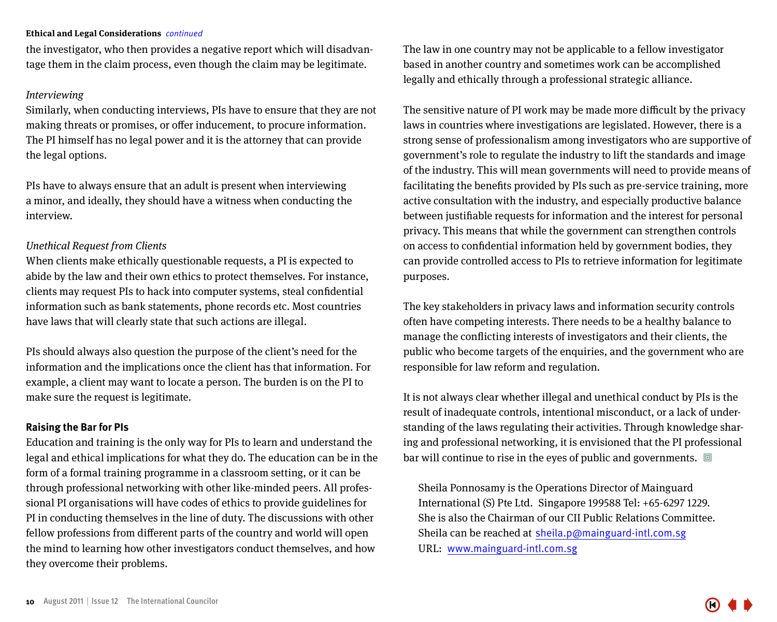the investigator, who then provides a negative report which will disadvantage them in the claim process, even though the claim may be legitimate.

#### Interviewing

Similarly, when conducting interviews, PIs have to ensure that they are not making threats or promises, or offer inducement, to procure information. The PI himself has no legal power and it is the attorney that can provide the legal options.

PIs have to always ensure that an adult is present when interviewing a minor, and ideally, they should have a witness when conducting the interview.

#### Unethical Request from Clients

When clients make ethically questionable requests, a PI is expected to abide by the law and their own ethics to protect themselves. For instance, clients may request PIs to hack into computer systems, steal confidential information such as bank statements, phone records etc. Most countries have laws that will clearly state that such actions are illegal.

PIs should always also question the purpose of the client's need for the information and the implications once the client has that information. For example, a client may want to locate a person. The burden is on the PI to make sure the request is legitimate.

#### **Raising the Bar for PIs**

Education and training is the only way for PIs to learn and understand the legal and ethical implications for what they do. The education can be in the form of a formal training programme in a classroom setting, or it can be through professional networking with other like-minded peers. All professional PI organisations will have codes of ethics to provide guidelines for PI in conducting themselves in the line of duty. The discussions with other fellow professions from different parts of the country and world will open the mind to learning how other investigators conduct themselves, and how they overcome their problems.

The law in one country may not be applicable to a fellow investigator based in another country and sometimes work can be accomplished legally and ethically through a professional strategic alliance.

The sensitive nature of PI work may be made more difficult by the privacy laws in countries where investigations are legislated. However, there is a strong sense of professionalism among investigators who are supportive of government's role to regulate the industry to lift the standards and image of the industry. This will mean governments will need to provide means of facilitating the benefits provided by PIs such as pre-service training, more active consultation with the industry, and especially productive balance between justifiable requests for information and the interest for personal privacy. This means that while the government can strengthen controls on access to confidential information held by government bodies, they can provide controlled access to PIs to retrieve information for legitimate purposes.

The key stakeholders in privacy laws and information security controls often have competing interests. There needs to be a healthy balance to manage the conflicting interests of investigators and their clients, the public who become targets of the enquiries, and the government who are responsible for law reform and regulation.

It is not always clear whether illegal and unethical conduct by PIs is the result of inadequate controls, intentional misconduct, or a lack of understanding of the laws regulating their activities. Through knowledge sharing and professional networking, it is envisioned that the PI professional bar will continue to rise in the eyes of public and governments.  $\Box$ 

Sheila Ponnosamy is the Operations Director of Mainguard International (S) Pte Ltd. Singapore 199588 Tel: +65-6297 1229. She is also the Chairman of our CII Public Relations Committee. Sheila can be reached at sheila.p@mainguard-intl.com.sg URL: www.mainguard-intl.com.sg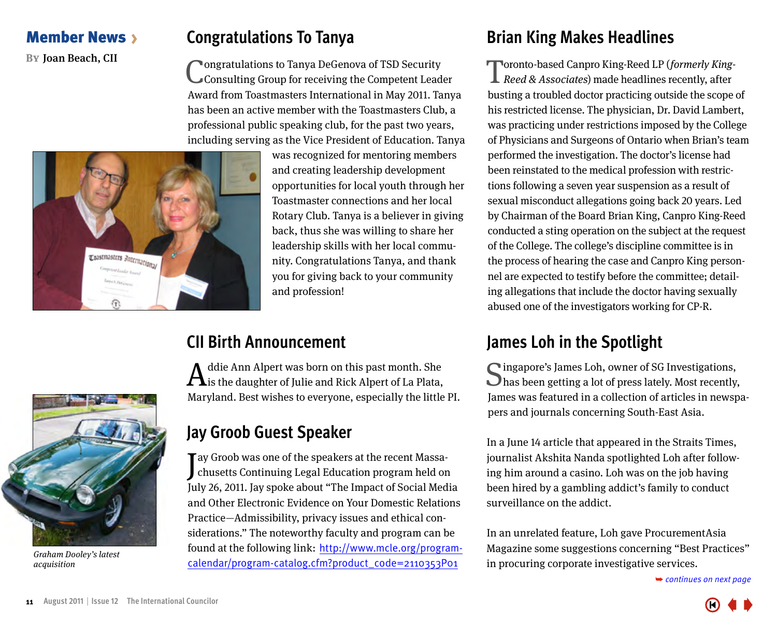### <span id="page-10-0"></span>Member News

### **Congratulations To Tanya**

**By Joan Beach, CII Congratulations to Tanya DeGenova of TSD Security** Consulting Group for receiving the Competent Leader Award from Toastmasters International in May 2011. Tanya has been an active member with the Toastmasters Club, a professional public speaking club, for the past two years, including serving as the Vice President of Education. Tanya



was recognized for mentoring members and creating leadership development opportunities for local youth through her Toastmaster connections and her local Rotary Club. Tanya is a believer in giving back, thus she was willing to share her leadership skills with her local community. Congratulations Tanya, and thank you for giving back to your community and profession!

### **CII Birth Announcement**

 $\mathbf A$ ddie Ann Alpert was born on this past month. She sis the daughter of Julie and Rick Alpert of La Plata, Maryland. Best wishes to everyone, especially the little PI.



Graham Dooley's latest acquisition

### **Jay Groob Guest Speaker**

J chusetts Continuing Legal Education program held on Tay Groob was one of the speakers at the recent Massa-July 26, 2011. Jay spoke about "The Impact of Social Media and Other Electronic Evidence on Your Domestic Relations Practice—Admissibility, privacy issues and ethical considerations." The noteworthy faculty and program can be found at the following link: [http://www.mcle.org/program](http://www.mcle.org/program-calendar/program-catalog.cfm?product_code=2110353P01)[calendar/program-catalog.cfm?product\\_code=2110353P01](http://www.mcle.org/program-calendar/program-catalog.cfm?product_code=2110353P01)

### **Brian King Makes Headlines**

Toronto-based Canpro King-Reed LP (formerly King-Reed & Associates) made headlines recently, after busting a troubled doctor practicing outside the scope of his restricted license. The physician, Dr. David Lambert, was practicing under restrictions imposed by the College of Physicians and Surgeons of Ontario when Brian's team performed the investigation. The doctor's license had been reinstated to the medical profession with restrictions following a seven year suspension as a result of sexual misconduct allegations going back 20 years. Led by Chairman of the Board Brian King, Canpro King-Reed conducted a sting operation on the subject at the request of the College. The college's discipline committee is in the process of hearing the case and Canpro King personnel are expected to testify before the committee; detailing allegations that include the doctor having sexually abused one of the investigators working for CP-R.

### **James Loh in the Spotlight**

Singapore's James Loh, owner of SG Investigations,<br>
Shas been getting a lot of press lately. Most recently, James was featured in a collection of articles in newspapers and journals concerning South-East Asia.

In a June 14 article that appeared in the Straits Times, journalist Akshita Nanda spotlighted Loh after following him around a casino. Loh was on the job having been hired by a gambling addict's family to conduct surveillance on the addict.

In an unrelated feature, Loh gave ProcurementAsia Magazine some suggestions concerning "Best Practices" [in procuring corporate investigative services.](#page-11-0)

➥ *continues on next page*



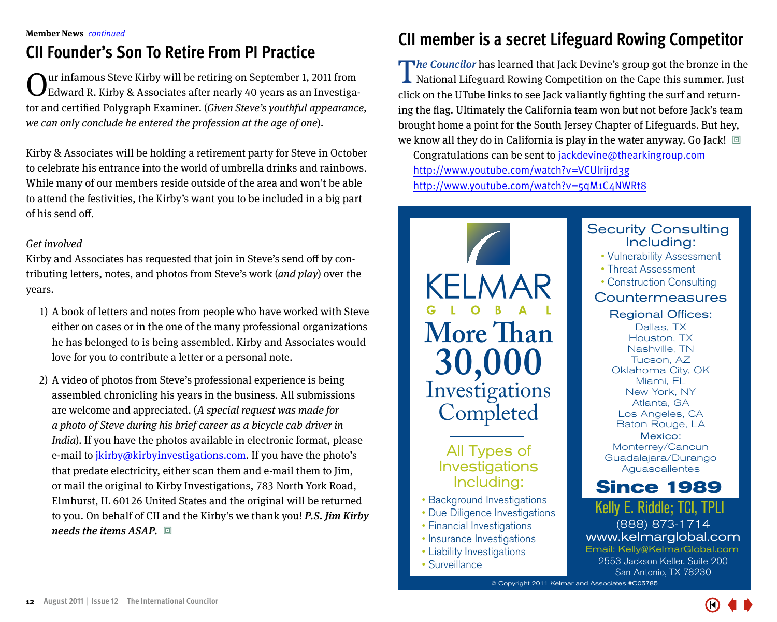### <span id="page-11-0"></span>**CII Founder's Son To Retire From PI Practice**

Our infamous Steve Kirby will be retiring on September 1, 2011 from Edward R. Kirby & Associates after nearly 40 years as an Investigator and certified Polygraph Examiner. (Given Steve's youthful appearance, we can only conclude he entered the profession at the age of one).

Kirby & Associates will be holding a retirement party for Steve in October to celebrate his entrance into the world of umbrella drinks and rainbows. While many of our members reside outside of the area and won't be able to attend the festivities, the Kirby's want you to be included in a big part of his send off.

### Get involved

Kirby and Associates has requested that join in Steve's send off by contributing letters, notes, and photos from Steve's work (and play) over the years.

- 1) A book of letters and notes from people who have worked with Steve either on cases or in the one of the many professional organizations he has belonged to is being assembled. Kirby and Associates would love for you to contribute a letter or a personal note.
- 2) A video of photos from Steve's professional experience is being assembled chronicling his years in the business. All submissions are welcome and appreciated. (A special request was made for a photo of Steve during his brief career as a bicycle cab driver in India). If you have the photos available in electronic format, please e-mail to jkirby@kirbyinvestigations.com. If you have the photo's that predate electricity, either scan them and e-mail them to Jim, or mail the original to Kirby Investigations, 783 North York Road, Elmhurst, IL 60126 United States and the original will be returned to you. On behalf of CII and the Kirby's we thank you! P.S. Jim Kirby needs the items  $ASAP$ .  $\Box$

### **CII member is a secret Lifeguard Rowing Competitor**

The Councilor has learned that Jack Devine's group got the bronze in the National Lifeguard Rowing Competition on the Cape this summer. Just click on the UTube links to see Jack valiantly fighting the surf and returning the flag. Ultimately the California team won but not before Jack's team brought home a point for the South Jersey Chapter of Lifeguards. But hey, we know all they do in California is play in the water anyway. Go Jack!  $\Box$ Congratulations can be sent to jackdevine@thearkingroup.com http://www.youtube.com/watch?v=VCUlrijrd3g

http://www.youtube.com/watch?v=5qM1C4NWRt8



### All Types of Investigations Including:

- Background Investigations
- Due Diligence Investigations
- Financial Investigations
- Insurance Investigations
- Liability Investigations
- Surveillance

#### Security Consulting Including:

- Vulnerability Assessment
- Threat Assessment
- Construction Consulting

### **Countermeasures**

#### Regional Offices:

Dallas, TX Houston, TX Nashville, TN Tucson, AZ Oklahoma City, OK Miami, FL New York, NY Atlanta, GA Los Angeles, CA Baton Rouge, LA Mexico:

Monterrey/Cancun Guadalajara/Durango Aguascalientes

### **Since 1989**

Kelly E. Riddle; TCI, TPLI (888) 873-1714 www.kelmarglobal.com 2553 Jackson Keller, Suite 200 San Antonio, TX 78230 Email: Kelly@KelmarGlobal.com